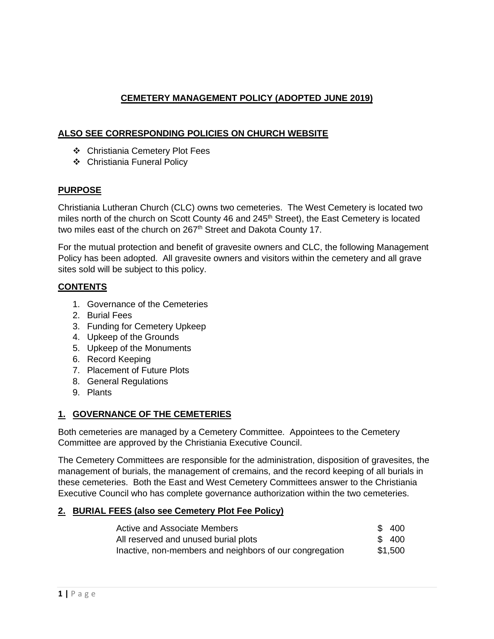# **CEMETERY MANAGEMENT POLICY (ADOPTED JUNE 2019)**

## **ALSO SEE CORRESPONDING POLICIES ON CHURCH WEBSITE**

- ❖ Christiania Cemetery Plot Fees
- ❖ Christiania Funeral Policy

#### **PURPOSE**

Christiania Lutheran Church (CLC) owns two cemeteries. The West Cemetery is located two miles north of the church on Scott County 46 and 245<sup>th</sup> Street), the East Cemetery is located two miles east of the church on 267<sup>th</sup> Street and Dakota County 17.

For the mutual protection and benefit of gravesite owners and CLC, the following Management Policy has been adopted. All gravesite owners and visitors within the cemetery and all grave sites sold will be subject to this policy.

#### **CONTENTS**

- 1. Governance of the Cemeteries
- 2. Burial Fees
- 3. Funding for Cemetery Upkeep
- 4. Upkeep of the Grounds
- 5. Upkeep of the Monuments
- 6. Record Keeping
- 7. Placement of Future Plots
- 8. General Regulations
- 9. Plants

### **1. GOVERNANCE OF THE CEMETERIES**

Both cemeteries are managed by a Cemetery Committee. Appointees to the Cemetery Committee are approved by the Christiania Executive Council.

The Cemetery Committees are responsible for the administration, disposition of gravesites, the management of burials, the management of cremains, and the record keeping of all burials in these cemeteries. Both the East and West Cemetery Committees answer to the Christiania Executive Council who has complete governance authorization within the two cemeteries.

### **2. BURIAL FEES (also see Cemetery Plot Fee Policy)**

| Active and Associate Members                            | \$400   |
|---------------------------------------------------------|---------|
| All reserved and unused burial plots                    | \$400   |
| Inactive, non-members and neighbors of our congregation | \$1,500 |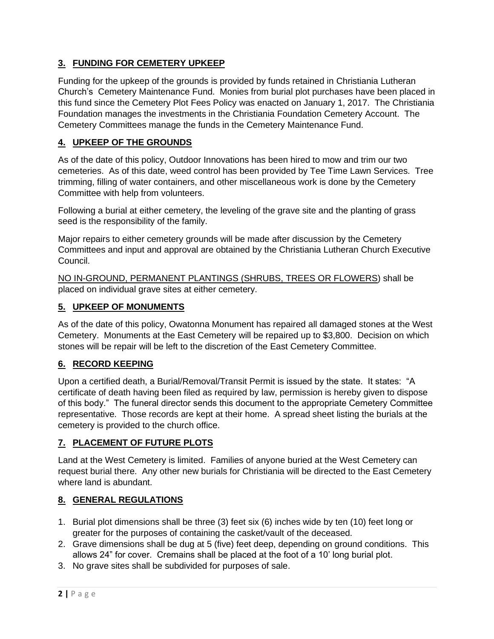# **3. FUNDING FOR CEMETERY UPKEEP**

Funding for the upkeep of the grounds is provided by funds retained in Christiania Lutheran Church's Cemetery Maintenance Fund. Monies from burial plot purchases have been placed in this fund since the Cemetery Plot Fees Policy was enacted on January 1, 2017. The Christiania Foundation manages the investments in the Christiania Foundation Cemetery Account. The Cemetery Committees manage the funds in the Cemetery Maintenance Fund.

# **4. UPKEEP OF THE GROUNDS**

As of the date of this policy, Outdoor Innovations has been hired to mow and trim our two cemeteries. As of this date, weed control has been provided by Tee Time Lawn Services. Tree trimming, filling of water containers, and other miscellaneous work is done by the Cemetery Committee with help from volunteers.

Following a burial at either cemetery, the leveling of the grave site and the planting of grass seed is the responsibility of the family.

Major repairs to either cemetery grounds will be made after discussion by the Cemetery Committees and input and approval are obtained by the Christiania Lutheran Church Executive Council.

NO IN-GROUND, PERMANENT PLANTINGS (SHRUBS, TREES OR FLOWERS) shall be placed on individual grave sites at either cemetery.

#### **5. UPKEEP OF MONUMENTS**

As of the date of this policy, Owatonna Monument has repaired all damaged stones at the West Cemetery. Monuments at the East Cemetery will be repaired up to \$3,800. Decision on which stones will be repair will be left to the discretion of the East Cemetery Committee.

# **6. RECORD KEEPING**

Upon a certified death, a Burial/Removal/Transit Permit is issued by the state. It states: "A certificate of death having been filed as required by law, permission is hereby given to dispose of this body." The funeral director sends this document to the appropriate Cemetery Committee representative. Those records are kept at their home. A spread sheet listing the burials at the cemetery is provided to the church office.

### **7. PLACEMENT OF FUTURE PLOTS**

Land at the West Cemetery is limited. Families of anyone buried at the West Cemetery can request burial there. Any other new burials for Christiania will be directed to the East Cemetery where land is abundant.

### **8. GENERAL REGULATIONS**

- 1. Burial plot dimensions shall be three (3) feet six (6) inches wide by ten (10) feet long or greater for the purposes of containing the casket/vault of the deceased.
- 2. Grave dimensions shall be dug at 5 (five) feet deep, depending on ground conditions. This allows 24" for cover. Cremains shall be placed at the foot of a 10' long burial plot.
- 3. No grave sites shall be subdivided for purposes of sale.